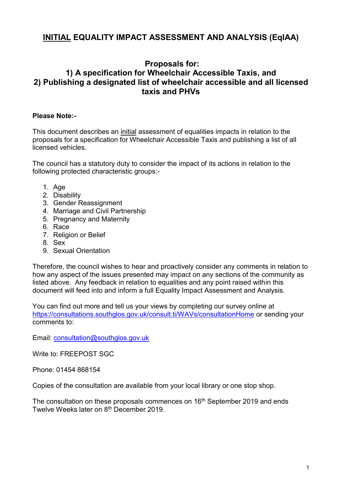## **INITIAL EQUALITY IMPACT ASSESSMENT AND ANALYSIS (EqIAA)**

### **Proposals for:**

### **1) A specification for Wheelchair Accessible Taxis, and 2) Publishing a designated list of wheelchair accessible and all licensed taxis and PHVs**

### **Please Note:-**

This document describes an initial assessment of equalities impacts in relation to the proposals for a specification for Wheelchair Accessible Taxis and publishing a list of all licensed vehicles.

The council has a statutory duty to consider the impact of its actions in relation to the following protected characteristic groups:-

- 1. Age
- 2. Disability
- 3. Gender Reassignment
- 4. Marriage and Civil Partnership
- 5. Pregnancy and Maternity
- 6. Race
- 7. Religion or Belief
- 8. Sex
- 9. Sexual Orientation

Therefore, the council wishes to hear and proactively consider any comments in relation to how any aspect of the issues presented may impact on any sections of the community as listed above. Any feedback in relation to equalities and any point raised within this document will feed into and inform a full Equality Impact Assessment and Analysis.

You can find out more and tell us your views by completing our survey online at <https://consultations.southglos.gov.uk/consult.ti/WAVs/consultationHome> or sending your comments to:

Email: [consultation@southglos.gov.uk](mailto:consultation@southglos.gov.uk)

Write to: FREEPOST SGC

Phone: 01454 868154

Copies of the consultation are available from your local library or one stop shop.

The consultation on these proposals commences on 16<sup>th</sup> September 2019 and ends Twelve Weeks later on 8th December 2019.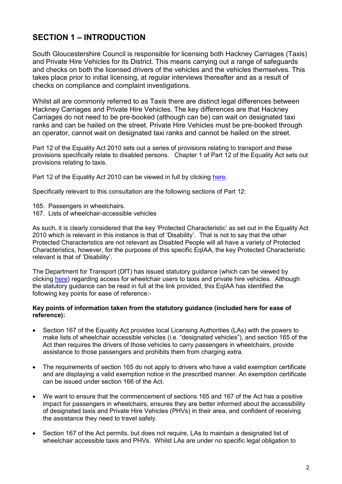# **SECTION 1 – INTRODUCTION**

South Gloucestershire Council is responsible for licensing both Hackney Carriages (Taxis) and Private Hire Vehicles for its District. This means carrying out a range of safeguards and checks on both the licensed drivers of the vehicles and the vehicles themselves. This takes place prior to initial licensing, at regular interviews thereafter and as a result of checks on compliance and complaint investigations.

Whilst all are commonly referred to as Taxis there are distinct legal differences between Hackney Carriages and Private Hire Vehicles. The key differences are that Hackney Carriages do not need to be pre-booked (although can be) can wait on designated taxi ranks and can be hailed on the street. Private Hire Vehicles must be pre-booked through an operator, cannot wait on designated taxi ranks and cannot be hailed on the street.

Part 12 of the Equality Act 2010 sets out a series of provisions relating to transport and these provisions specifically relate to disabled persons. Chapter 1 of Part 12 of the Equality Act sets out provisions relating to taxis.

Part 12 of the Equality Act 2010 can be viewed in full by clicking [here.](https://www.legislation.gov.uk/ukpga/2010/15/part/12)

Specifically relevant to this consultation are the following sections of Part 12:

- 165. Passengers in wheelchairs.
- 167. Lists of wheelchair-accessible vehicles

As such, it is clearly considered that the key 'Protected Characteristic' as set out in the Equality Act 2010 which is relevant in this instance is that of 'Disability'. That is not to say that the other Protected Characteristics are not relevant as Disabled People will all have a variety of Protected Characteristics, however, for the purposes of this specific EqIAA, the key Protected Characteristic relevant is that of 'Disability'.

The Department for Transport (DfT) has issued statutory guidance (which can be viewed by clicking [here\)](https://www.gov.uk/government/publications/access-for-wheelchair-users-to-taxis-and-private-hire-vehicles) regarding access for wheelchair users to taxis and private hire vehicles. Although the statutory guidance can be read in full at the link provided, this EqIAA has identified the following key points for ease of reference:-

#### **Key points of information taken from the statutory guidance (included here for ease of reference):**

- Section 167 of the Equality Act provides local Licensing Authorities (LAs) with the powers to make lists of wheelchair accessible vehicles (i.e. "designated vehicles"), and section 165 of the Act then requires the drivers of those vehicles to carry passengers in wheelchairs, provide assistance to those passengers and prohibits them from charging extra.
- The requirements of section 165 do not apply to drivers who have a valid exemption certificate and are displaying a valid exemption notice in the prescribed manner. An exemption certificate can be issued under section 166 of the Act.
- We want to ensure that the commencement of sections 165 and 167 of the Act has a positive impact for passengers in wheelchairs, ensures they are better informed about the accessibility of designated taxis and Private Hire Vehicles (PHVs) in their area, and confident of receiving the assistance they need to travel safely.
- Section 167 of the Act permits, but does not require, LAs to maintain a designated list of wheelchair accessible taxis and PHVs. Whilst LAs are under no specific legal obligation to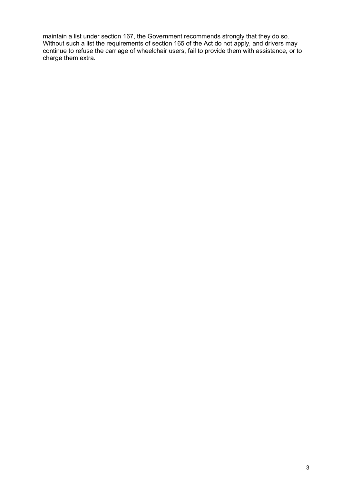maintain a list under section 167, the Government recommends strongly that they do so. Without such a list the requirements of section 165 of the Act do not apply, and drivers may continue to refuse the carriage of wheelchair users, fail to provide them with assistance, or to charge them extra.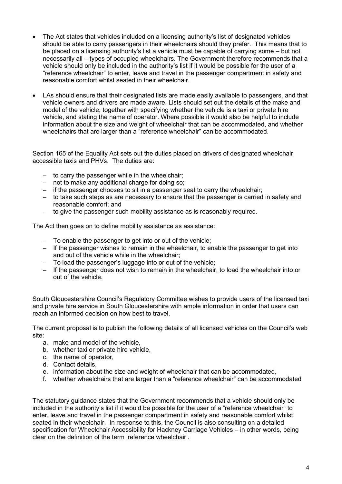- The Act states that vehicles included on a licensing authority's list of designated vehicles should be able to carry passengers in their wheelchairs should they prefer. This means that to be placed on a licensing authority's list a vehicle must be capable of carrying some – but not necessarily all – types of occupied wheelchairs. The Government therefore recommends that a vehicle should only be included in the authority's list if it would be possible for the user of a "reference wheelchair" to enter, leave and travel in the passenger compartment in safety and reasonable comfort whilst seated in their wheelchair.
- LAs should ensure that their designated lists are made easily available to passengers, and that vehicle owners and drivers are made aware. Lists should set out the details of the make and model of the vehicle, together with specifying whether the vehicle is a taxi or private hire vehicle, and stating the name of operator. Where possible it would also be helpful to include information about the size and weight of wheelchair that can be accommodated, and whether wheelchairs that are larger than a "reference wheelchair" can be accommodated.

Section 165 of the Equality Act sets out the duties placed on drivers of designated wheelchair accessible taxis and PHVs. The duties are:

- $-$  to carry the passenger while in the wheelchair;
- not to make any additional charge for doing so;
- ‒ if the passenger chooses to sit in a passenger seat to carry the wheelchair;
- to take such steps as are necessary to ensure that the passenger is carried in safety and reasonable comfort; and
- ‒ to give the passenger such mobility assistance as is reasonably required.

The Act then goes on to define mobility assistance as assistance:

- ‒ To enable the passenger to get into or out of the vehicle;
- ‒ If the passenger wishes to remain in the wheelchair, to enable the passenger to get into and out of the vehicle while in the wheelchair;
- ‒ To load the passenger's luggage into or out of the vehicle;
- ‒ If the passenger does not wish to remain in the wheelchair, to load the wheelchair into or out of the vehicle.

South Gloucestershire Council's Regulatory Committee wishes to provide users of the licensed taxi and private hire service in South Gloucestershire with ample information in order that users can reach an informed decision on how best to travel.

The current proposal is to publish the following details of all licensed vehicles on the Council's web site:

- a. make and model of the vehicle,
- b. whether taxi or private hire vehicle,
- c. the name of operator,
- d. Contact details,
- e. information about the size and weight of wheelchair that can be accommodated,
- f. whether wheelchairs that are larger than a "reference wheelchair" can be accommodated

The statutory guidance states that the Government recommends that a vehicle should only be included in the authority's list if it would be possible for the user of a "reference wheelchair" to enter, leave and travel in the passenger compartment in safety and reasonable comfort whilst seated in their wheelchair. In response to this, the Council is also consulting on a detailed specification for Wheelchair Accessibility for Hackney Carriage Vehicles – in other words, being clear on the definition of the term 'reference wheelchair'.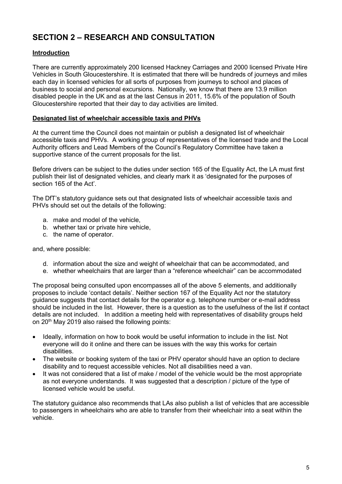# **SECTION 2 – RESEARCH AND CONSULTATION**

### **Introduction**

There are currently approximately 200 licensed Hackney Carriages and 2000 licensed Private Hire Vehicles in South Gloucestershire. It is estimated that there will be hundreds of journeys and miles each day in licensed vehicles for all sorts of purposes from journeys to school and places of business to social and personal excursions. Nationally, we know that there are 13.9 million disabled people in the UK and as at the last Census in 2011, 15.6% of the population of South Gloucestershire reported that their day to day activities are limited.

#### **Designated list of wheelchair accessible taxis and PHVs**

At the current time the Council does not maintain or publish a designated list of wheelchair accessible taxis and PHVs. A working group of representatives of the licensed trade and the Local Authority officers and Lead Members of the Council's Regulatory Committee have taken a supportive stance of the current proposals for the list.

Before drivers can be subject to the duties under section 165 of the Equality Act, the LA must first publish their list of designated vehicles, and clearly mark it as 'designated for the purposes of section 165 of the Act'.

The DfT's statutory guidance sets out that designated lists of wheelchair accessible taxis and PHVs should set out the details of the following:

- a. make and model of the vehicle,
- b. whether taxi or private hire vehicle,
- c. the name of operator.

#### and, where possible:

- d. information about the size and weight of wheelchair that can be accommodated, and
- e. whether wheelchairs that are larger than a "reference wheelchair" can be accommodated

The proposal being consulted upon encompasses all of the above 5 elements, and additionally proposes to include 'contact details'. Neither section 167 of the Equality Act nor the statutory guidance suggests that contact details for the operator e.g. telephone number or e-mail address should be included in the list. However, there is a question as to the usefulness of the list if contact details are not included. In addition a meeting held with representatives of disability groups held on 20<sup>th</sup> May 2019 also raised the following points:

- Ideally, information on how to book would be useful information to include in the list. Not everyone will do it online and there can be issues with the way this works for certain disabilities.
- The website or booking system of the taxi or PHV operator should have an option to declare disability and to request accessible vehicles. Not all disabilities need a van.
- It was not considered that a list of make / model of the vehicle would be the most appropriate as not everyone understands. It was suggested that a description / picture of the type of licensed vehicle would be useful.

The statutory guidance also recommends that LAs also publish a list of vehicles that are accessible to passengers in wheelchairs who are able to transfer from their wheelchair into a seat within the vehicle.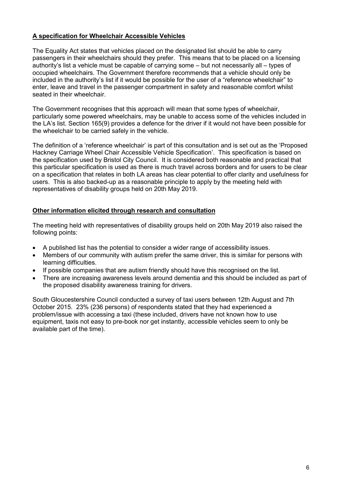#### **A specification for Wheelchair Accessible Vehicles**

The Equality Act states that vehicles placed on the designated list should be able to carry passengers in their wheelchairs should they prefer. This means that to be placed on a licensing authority's list a vehicle must be capable of carrying some – but not necessarily all – types of occupied wheelchairs. The Government therefore recommends that a vehicle should only be included in the authority's list if it would be possible for the user of a "reference wheelchair" to enter, leave and travel in the passenger compartment in safety and reasonable comfort whilst seated in their wheelchair.

The Government recognises that this approach will mean that some types of wheelchair, particularly some powered wheelchairs, may be unable to access some of the vehicles included in the LA's list. Section 165(9) provides a defence for the driver if it would not have been possible for the wheelchair to be carried safely in the vehicle.

The definition of a 'reference wheelchair' is part of this consultation and is set out as the 'Proposed Hackney Carriage Wheel Chair Accessible Vehicle Specification'. This specification is based on the specification used by Bristol City Council. It is considered both reasonable and practical that this particular specification is used as there is much travel across borders and for users to be clear on a specification that relates in both LA areas has clear potential to offer clarity and usefulness for users. This is also backed-up as a reasonable principle to apply by the meeting held with representatives of disability groups held on 20th May 2019.

#### **Other information elicited through research and consultation**

The meeting held with representatives of disability groups held on 20th May 2019 also raised the following points:

- A published list has the potential to consider a wider range of accessibility issues.
- Members of our community with autism prefer the same driver, this is similar for persons with learning difficulties.
- If possible companies that are autism friendly should have this recognised on the list.
- There are increasing awareness levels around dementia and this should be included as part of the proposed disability awareness training for drivers.

South Gloucestershire Council conducted a survey of taxi users between 12th August and 7th October 2015. 23% (236 persons) of respondents stated that they had experienced a problem/issue with accessing a taxi (these included, drivers have not known how to use equipment, taxis not easy to pre-book nor get instantly, accessible vehicles seem to only be available part of the time).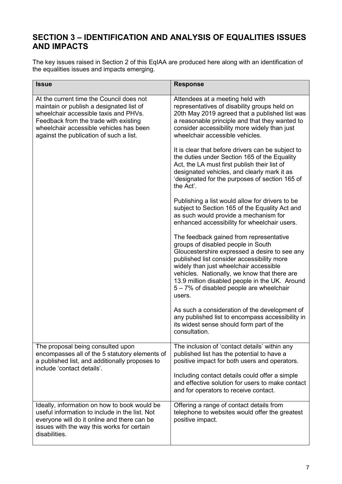### **SECTION 3 – IDENTIFICATION AND ANALYSIS OF EQUALITIES ISSUES AND IMPACTS**

The key issues raised in Section 2 of this EqIAA are produced here along with an identification of the equalities issues and impacts emerging.

| <b>Issue</b>                                                                                                                                                                                                                                                 | <b>Response</b>                                                                                                                                                                                                                                                                                                                                                                |
|--------------------------------------------------------------------------------------------------------------------------------------------------------------------------------------------------------------------------------------------------------------|--------------------------------------------------------------------------------------------------------------------------------------------------------------------------------------------------------------------------------------------------------------------------------------------------------------------------------------------------------------------------------|
| At the current time the Council does not<br>maintain or publish a designated list of<br>wheelchair accessible taxis and PHVs.<br>Feedback from the trade with existing<br>wheelchair accessible vehicles has been<br>against the publication of such a list. | Attendees at a meeting held with<br>representatives of disability groups held on<br>20th May 2019 agreed that a published list was<br>a reasonable principle and that they wanted to<br>consider accessibility more widely than just<br>wheelchair accessible vehicles.                                                                                                        |
|                                                                                                                                                                                                                                                              | It is clear that before drivers can be subject to<br>the duties under Section 165 of the Equality<br>Act, the LA must first publish their list of<br>designated vehicles, and clearly mark it as<br>'designated for the purposes of section 165 of<br>the Act'.                                                                                                                |
|                                                                                                                                                                                                                                                              | Publishing a list would allow for drivers to be.<br>subject to Section 165 of the Equality Act and<br>as such would provide a mechanism for<br>enhanced accessibility for wheelchair users.                                                                                                                                                                                    |
|                                                                                                                                                                                                                                                              | The feedback gained from representative<br>groups of disabled people in South<br>Gloucestershire expressed a desire to see any<br>published list consider accessibility more<br>widely than just wheelchair accessible<br>vehicles. Nationally, we know that there are<br>13.9 million disabled people in the UK. Around<br>5 – 7% of disabled people are wheelchair<br>users. |
|                                                                                                                                                                                                                                                              | As such a consideration of the development of<br>any published list to encompass accessibility in<br>its widest sense should form part of the<br>consultation.                                                                                                                                                                                                                 |
| The proposal being consulted upon<br>encompasses all of the 5 statutory elements of<br>a published list, and additionally proposes to<br>include 'contact details'.                                                                                          | The inclusion of 'contact details' within any<br>published list has the potential to have a<br>positive impact for both users and operators.                                                                                                                                                                                                                                   |
|                                                                                                                                                                                                                                                              | Including contact details could offer a simple<br>and effective solution for users to make contact<br>and for operators to receive contact.                                                                                                                                                                                                                                    |
| Ideally, information on how to book would be<br>useful information to include in the list. Not<br>everyone will do it online and there can be<br>issues with the way this works for certain<br>disabilities.                                                 | Offering a range of contact details from<br>telephone to websites would offer the greatest<br>positive impact.                                                                                                                                                                                                                                                                 |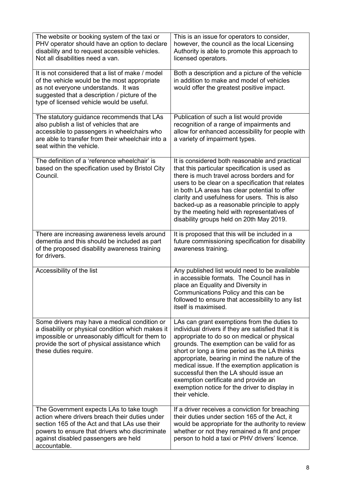| The website or booking system of the taxi or<br>PHV operator should have an option to declare<br>disability and to request accessible vehicles.<br>Not all disabilities need a van.                                                                   | This is an issue for operators to consider,<br>however, the council as the local Licensing<br>Authority is able to promote this approach to<br>licensed operators.                                                                                                                                                                                                                                                                                                                                       |
|-------------------------------------------------------------------------------------------------------------------------------------------------------------------------------------------------------------------------------------------------------|----------------------------------------------------------------------------------------------------------------------------------------------------------------------------------------------------------------------------------------------------------------------------------------------------------------------------------------------------------------------------------------------------------------------------------------------------------------------------------------------------------|
| It is not considered that a list of make / model<br>of the vehicle would be the most appropriate<br>as not everyone understands. It was<br>suggested that a description / picture of the<br>type of licensed vehicle would be useful.                 | Both a description and a picture of the vehicle<br>in addition to make and model of vehicles<br>would offer the greatest positive impact.                                                                                                                                                                                                                                                                                                                                                                |
| The statutory guidance recommends that LAs<br>also publish a list of vehicles that are<br>accessible to passengers in wheelchairs who<br>are able to transfer from their wheelchair into a<br>seat within the vehicle.                                | Publication of such a list would provide<br>recognition of a range of impairments and<br>allow for enhanced accessibility for people with<br>a variety of impairment types.                                                                                                                                                                                                                                                                                                                              |
| The definition of a 'reference wheelchair' is<br>based on the specification used by Bristol City<br>Council.                                                                                                                                          | It is considered both reasonable and practical<br>that this particular specification is used as<br>there is much travel across borders and for<br>users to be clear on a specification that relates<br>in both LA areas has clear potential to offer<br>clarity and usefulness for users. This is also<br>backed-up as a reasonable principle to apply<br>by the meeting held with representatives of<br>disability groups held on 20th May 2019.                                                        |
| There are increasing awareness levels around<br>dementia and this should be included as part<br>of the proposed disability awareness training<br>for drivers.                                                                                         | It is proposed that this will be included in a<br>future commissioning specification for disability<br>awareness training.                                                                                                                                                                                                                                                                                                                                                                               |
| Accessibility of the list                                                                                                                                                                                                                             | Any published list would need to be available<br>in accessible formats. The Council has in<br>place an Equality and Diversity in<br>Communications Policy and this can be<br>followed to ensure that accessibility to any list<br>itself is maximised.                                                                                                                                                                                                                                                   |
| Some drivers may have a medical condition or<br>a disability or physical condition which makes it<br>impossible or unreasonably difficult for them to<br>provide the sort of physical assistance which<br>these duties require.                       | LAs can grant exemptions from the duties to<br>individual drivers if they are satisfied that it is<br>appropriate to do so on medical or physical<br>grounds. The exemption can be valid for as<br>short or long a time period as the LA thinks<br>appropriate, bearing in mind the nature of the<br>medical issue. If the exemption application is<br>successful then the LA should issue an<br>exemption certificate and provide an<br>exemption notice for the driver to display in<br>their vehicle. |
| The Government expects LAs to take tough<br>action where drivers breach their duties under<br>section 165 of the Act and that LAs use their<br>powers to ensure that drivers who discriminate<br>against disabled passengers are held<br>accountable. | If a driver receives a conviction for breaching<br>their duties under section 165 of the Act, it<br>would be appropriate for the authority to review<br>whether or not they remained a fit and proper<br>person to hold a taxi or PHV drivers' licence.                                                                                                                                                                                                                                                  |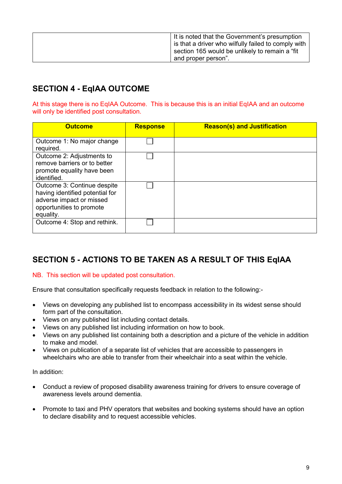| It is noted that the Government's presumption       |
|-----------------------------------------------------|
| is that a driver who wilfully failed to comply with |
| section 165 would be unlikely to remain a "fit"     |
| and proper person".                                 |
|                                                     |

# **SECTION 4 - EqIAA OUTCOME**

At this stage there is no EqIAA Outcome. This is because this is an initial EqIAA and an outcome will only be identified post consultation.

| <b>Outcome</b>                                                                                                                      | <b>Response</b> | <b>Reason(s) and Justification</b> |
|-------------------------------------------------------------------------------------------------------------------------------------|-----------------|------------------------------------|
| Outcome 1: No major change<br>required.                                                                                             |                 |                                    |
| Outcome 2: Adjustments to<br>remove barriers or to better<br>promote equality have been<br>identified.                              |                 |                                    |
| Outcome 3: Continue despite<br>having identified potential for<br>adverse impact or missed<br>opportunities to promote<br>equality. |                 |                                    |
| Outcome 4: Stop and rethink.                                                                                                        |                 |                                    |

## **SECTION 5 - ACTIONS TO BE TAKEN AS A RESULT OF THIS EqIAA**

#### NB. This section will be updated post consultation.

Ensure that consultation specifically requests feedback in relation to the following:-

- Views on developing any published list to encompass accessibility in its widest sense should form part of the consultation.
- Views on any published list including contact details.
- Views on any published list including information on how to book.
- Views on any published list containing both a description and a picture of the vehicle in addition to make and model.
- Views on publication of a separate list of vehicles that are accessible to passengers in wheelchairs who are able to transfer from their wheelchair into a seat within the vehicle

In addition:

- Conduct a review of proposed disability awareness training for drivers to ensure coverage of awareness levels around dementia.
- Promote to taxi and PHV operators that websites and booking systems should have an option to declare disability and to request accessible vehicles.